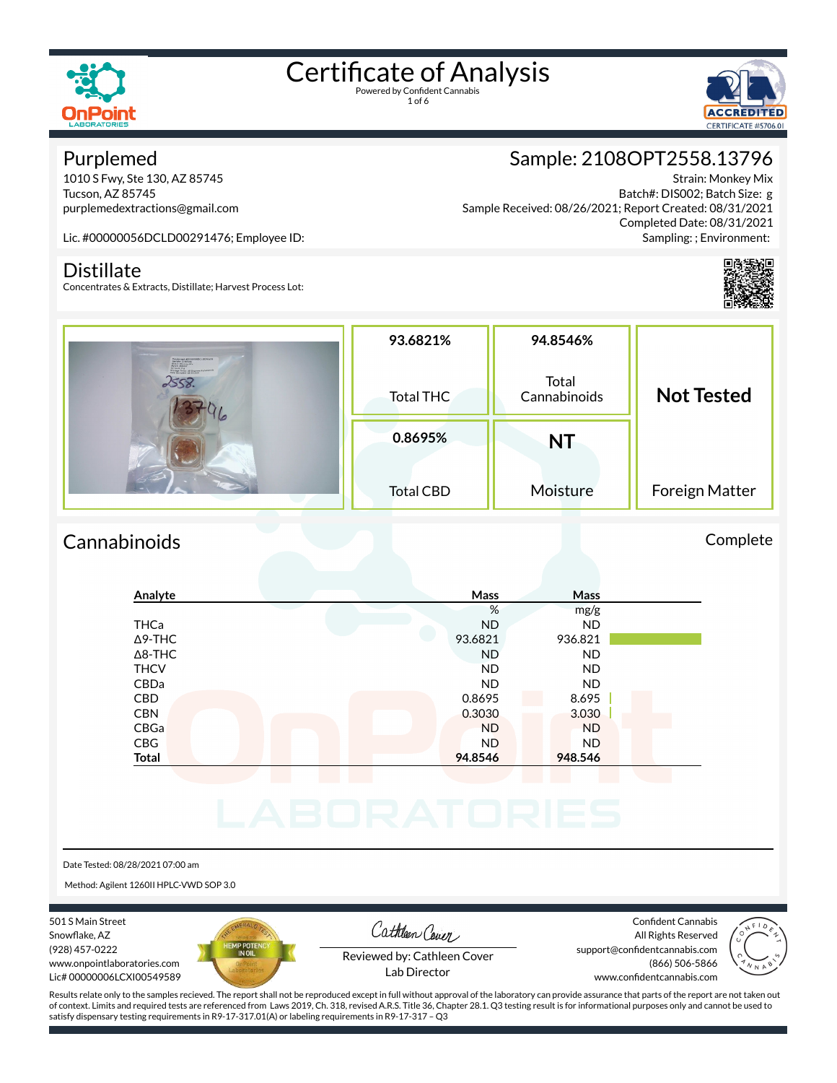

1 of 6



### Purplemed

1010 S Fwy, Ste 130, AZ 85745 Tucson, AZ 85745 purplemedextractions@gmail.com

Sample: 2108OPT2558.13796 Strain: Monkey Mix Batch#: DIS002; Batch Size: g Sample Received: 08/26/2021; Report Created: 08/31/2021

Completed Date: 08/31/2021 Sampling: ; Environment:

Lic. #00000056DCLD00291476; Employee ID:

### **Distillate**

Concentrates & Extracts, Distillate; Harvest Process Lot:

| Programmer interceptions (1,000 km) is                                                                                                              | 93.6821%         | 94.8546%              | <b>Not Tested</b> |  |
|-----------------------------------------------------------------------------------------------------------------------------------------------------|------------------|-----------------------|-------------------|--|
| Servide (Station)<br>Strain: Monkey Mix<br>Recut (Station)<br>Arracel & g<br>Shoppi Trap, 43 Organiz Fohmerini<br>Ohio Barader (4 05/2021)<br>2558. | <b>Total THC</b> | Total<br>Cannabinoids |                   |  |
|                                                                                                                                                     | 0.8695%          | NT                    |                   |  |
|                                                                                                                                                     | <b>Total CBD</b> | Moisture              | Foreign Matter    |  |

### Cannabinoids Complete

### **Analyte Mass Mass** % mg/g THCa ND ND Δ9-THC 93.6821 936.821 Δ8-THC ND ND THCV ND ND CBDa ND ND CBD 0.8695 8.695 CBN 3.030 3.030 CBGa ND ND CBG ND ND **Total 94.8546 948.546**

Date Tested: 08/28/2021 07:00 am

Method: Agilent 1260II HPLC-VWD SOP 3.0

501 S Main Street Snowflake, AZ (928) 457-0222 www.onpointlaboratories.com Lic# 00000006LCXI00549589



Cathleen Cover

Confident Cannabis All Rights Reserved support@confidentcannabis.com (866) 506-5866



Reviewed by: Cathleen Cover Lab Director

www.confidentcannabis.com

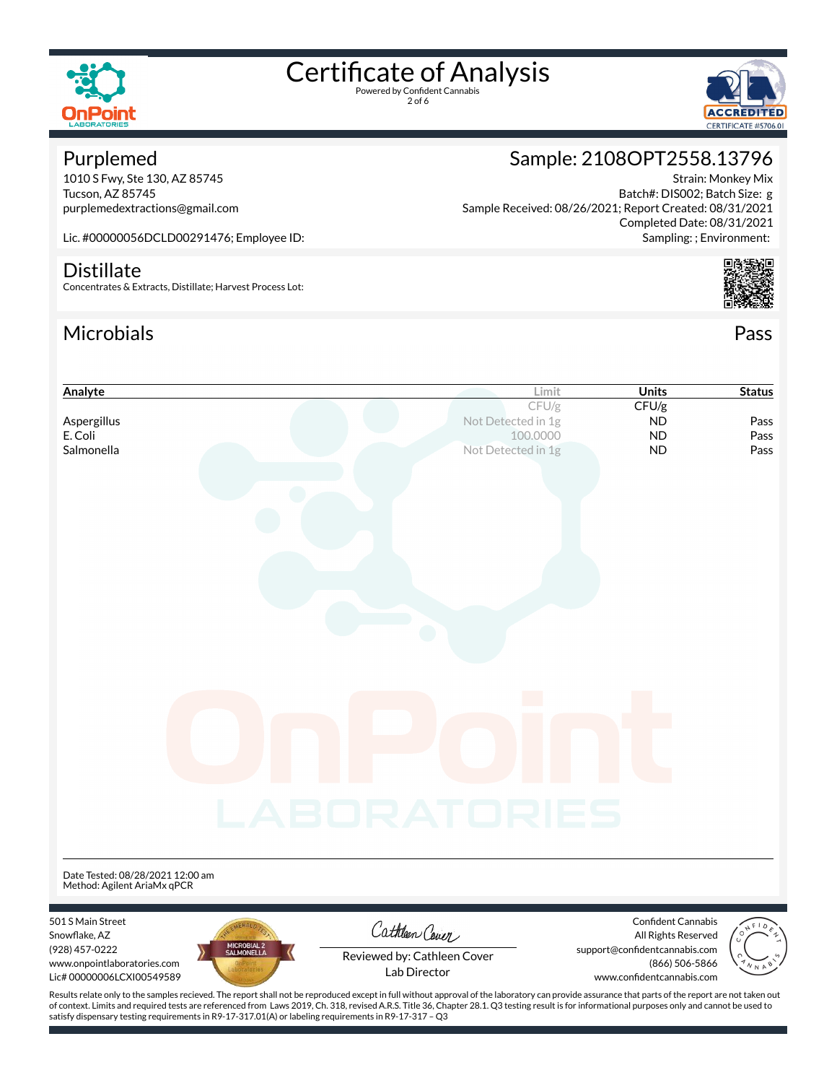

2 of 6



### Purplemed

1010 S Fwy, Ste 130, AZ 85745 Tucson, AZ 85745 purplemedextractions@gmail.com Sample: 2108OPT2558.13796 Strain: Monkey Mix

Batch#: DIS002; Batch Size: g Sample Received: 08/26/2021; Report Created: 08/31/2021 Completed Date: 08/31/2021 Sampling: ; Environment:

Lic. #00000056DCLD00291476; Employee ID:

### **Distillate**

Concentrates & Extracts, Distillate; Harvest Process Lot:

satisfy dispensary testing requirements in R9-17-317.01(A) or labeling requirements in R9-17-317 – Q3

### Microbials Pass



## **Analyte Limit Units Status** CFU/g **CFU/g** Aspergillus **Aspergillus Notifically Aspergillus Notifically** *Notifically Notifically Aspergillus* **<b>ND** Pass E. Coli 100.0000 ND Pass **Salmonella** Not Detected in 1g **ND** Pass Date Tested: 08/28/2021 12:00 am Method: Agilent AriaMx qPCR 501 S Main Street Confident Cannabis Cathleen Cover Snowflake, AZ All Rights Reserved (928) 457-0222 support@confidentcannabis.com Reviewed by: Cathleen Cover www.onpointlaboratories.com (866) 506-5866 Lab DirectorLic# 00000006LCXI00549589 www.confidentcannabis.com Results relate only to the samples recieved. The report shall not be reproduced except in full without approval of the laboratory can provide assurance that parts of the report are not taken out of context. Limits and required tests are referenced from Laws 2019, Ch. 318, revised A.R.S. Title 36, Chapter 28.1. Q3 testing result is for informational purposes only and cannot be used to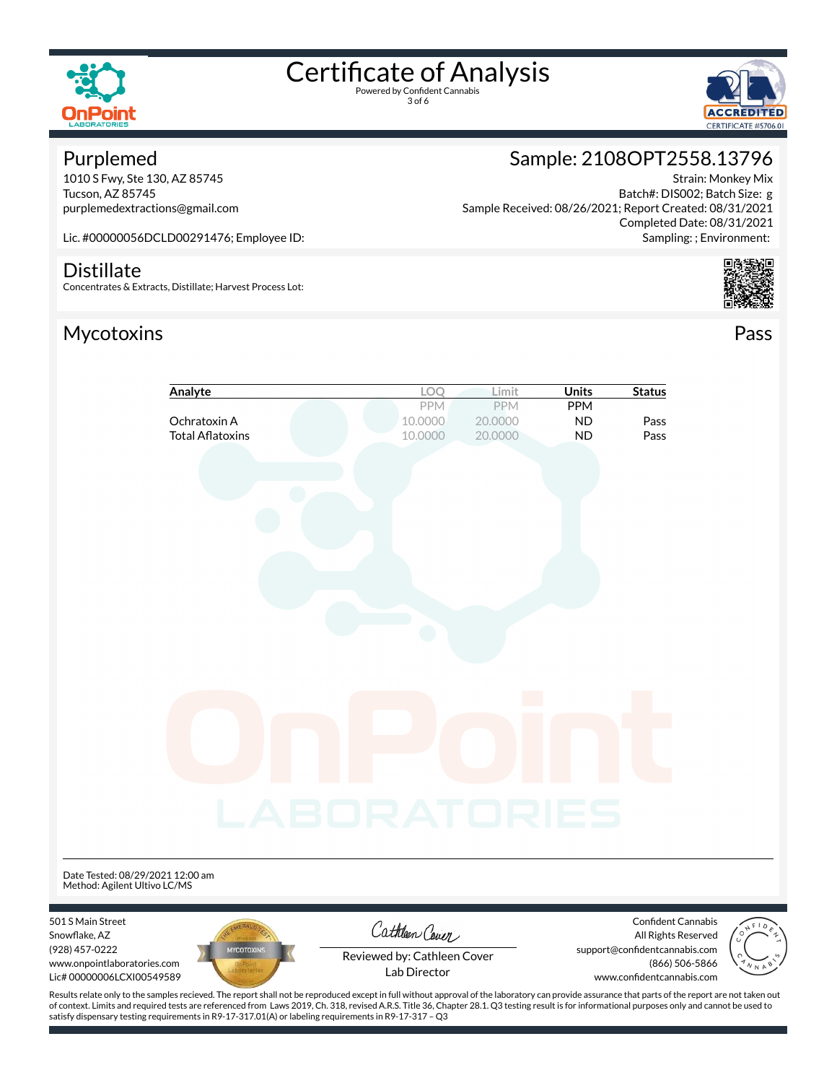



### Purplemed

1010 S Fwy, Ste 130, AZ 85745 Tucson, AZ 85745 purplemedextractions@gmail.com

### Sample: 2108OPT2558.13796

Strain: Monkey Mix Batch#: DIS002; Batch Size: g Sample Received: 08/26/2021; Report Created: 08/31/2021 Completed Date: 08/31/2021 Sampling: ; Environment:

Lic. #00000056DCLD00291476; Employee ID:

#### **Distillate**

Concentrates & Extracts, Distillate; Harvest Process Lot:

### Mycotoxins Pass





|                                                                  | Analyte                 | LOQ<br>Limit       | Units | <b>Status</b>      |
|------------------------------------------------------------------|-------------------------|--------------------|-------|--------------------|
|                                                                  |                         | PPM<br>PPM         | PPM   |                    |
|                                                                  | Ochratoxin A            | 10.0000<br>20.0000 | ND    | Pass               |
|                                                                  | <b>Total Aflatoxins</b> | 10.0000<br>20.0000 | ND    | Pass               |
|                                                                  |                         |                    |       |                    |
|                                                                  |                         |                    |       |                    |
|                                                                  |                         |                    |       |                    |
|                                                                  |                         |                    |       |                    |
|                                                                  |                         |                    |       |                    |
|                                                                  |                         |                    |       |                    |
|                                                                  |                         |                    |       |                    |
|                                                                  |                         |                    |       |                    |
|                                                                  |                         |                    |       |                    |
|                                                                  |                         |                    |       |                    |
|                                                                  |                         |                    |       |                    |
|                                                                  |                         |                    |       |                    |
|                                                                  |                         |                    |       |                    |
|                                                                  |                         |                    |       |                    |
|                                                                  |                         |                    |       |                    |
|                                                                  |                         | <b>COL</b>         |       |                    |
|                                                                  |                         |                    |       |                    |
|                                                                  |                         |                    |       |                    |
|                                                                  |                         |                    |       |                    |
|                                                                  |                         |                    |       |                    |
|                                                                  |                         |                    |       |                    |
|                                                                  |                         |                    |       |                    |
|                                                                  |                         |                    |       |                    |
|                                                                  |                         | ABORATORIES        |       |                    |
|                                                                  |                         |                    |       |                    |
|                                                                  |                         |                    |       |                    |
|                                                                  |                         |                    |       |                    |
| Date Tested: 08/29/2021 12:00 am<br>Method: Agilent Ultivo LC/MS |                         |                    |       |                    |
|                                                                  |                         |                    |       |                    |
|                                                                  |                         |                    |       |                    |
| 501 S Main Street                                                | AERALO                  | $C_0$ theory       |       | Confident Cannabis |

Snowflake, AZ (928) 457-0222 www.onpointlaboratories.com Lic# 00000006LCXI00549589



Cathleen Cever

All Rights Reserved support@confidentcannabis.com (866) 506-5866 www.confidentcannabis.com



Reviewed by: Cathleen Cover Lab Director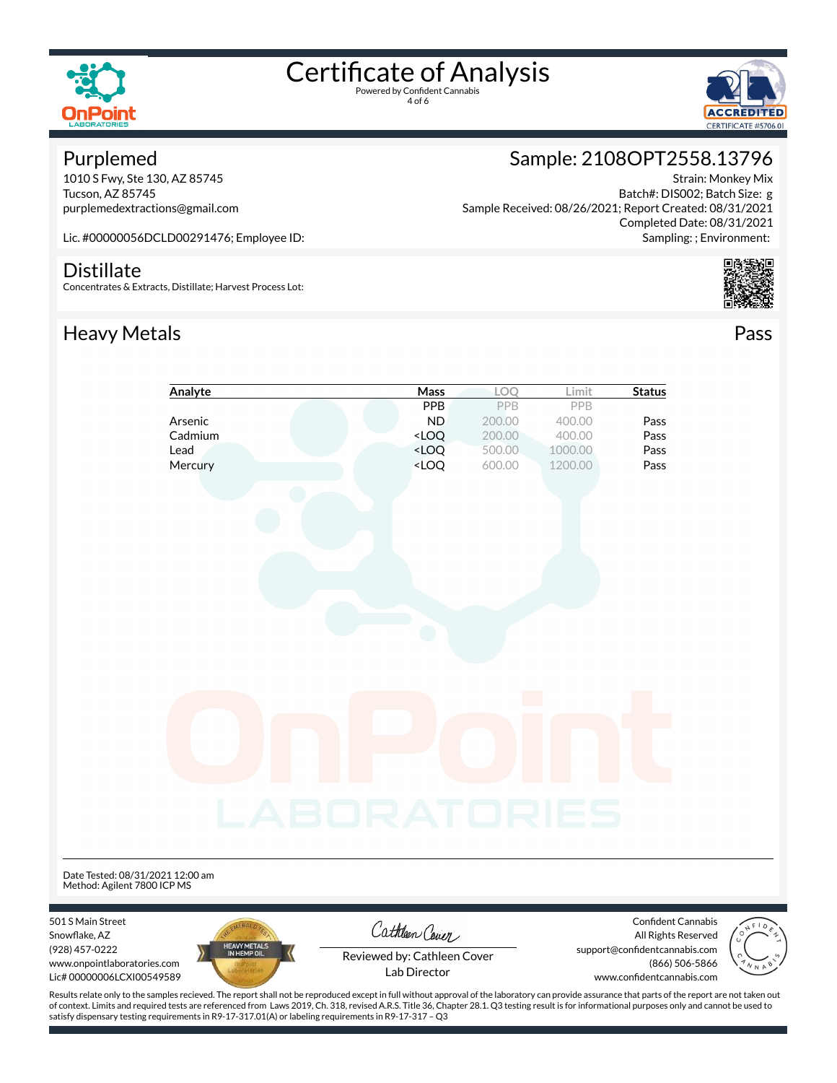



### Purplemed

1010 S Fwy, Ste 130, AZ 85745 Tucson, AZ 85745 purplemedextractions@gmail.com Sample: 2108OPT2558.13796 Strain: Monkey Mix

Batch#: DIS002; Batch Size: g Sample Received: 08/26/2021; Report Created: 08/31/2021 Completed Date: 08/31/2021 Sampling: ; Environment:

Lic. #00000056DCLD00291476; Employee ID:

#### **Distillate**

Concentrates & Extracts, Distillate; Harvest Process Lot:

### Heavy Metals **Pass**





|                                                                 | Analyte             | Mass                                                            | LOQ    | Limit   | <b>Status</b>                                                              |
|-----------------------------------------------------------------|---------------------|-----------------------------------------------------------------|--------|---------|----------------------------------------------------------------------------|
|                                                                 |                     | PPB                                                             | PPB    | PPB     |                                                                            |
|                                                                 | Arsenic             | <b>ND</b>                                                       | 200.00 | 400.00  | Pass                                                                       |
|                                                                 | Cadmium             | $<$ LOQ                                                         | 200.00 | 400.00  | Pass                                                                       |
|                                                                 | Lead                | <loq< td=""><td>500.00</td><td>1000.00</td><td>Pass</td></loq<> | 500.00 | 1000.00 | Pass                                                                       |
|                                                                 | Mercury             | $<$ LOQ                                                         | 600.00 | 1200.00 | Pass                                                                       |
|                                                                 |                     |                                                                 |        |         |                                                                            |
| Date Tested: 08/31/2021 12:00 am<br>Method: Agilent 7800 ICP MS |                     | <b>_ABORATORIES</b>                                             |        |         |                                                                            |
|                                                                 |                     |                                                                 |        |         |                                                                            |
| 501 S Main Street<br>Snowflake, AZ<br>(928) 457-0222            | <b>HEAVY METALS</b> | Cathleen Cover                                                  |        |         | Confident Cannabis<br>All Rights Reserved<br>sunnort@confidentcannabis.com |

Snowflake, AZ (928) 457-022 www.onpointlaboratories.com Lic# 00000006LCXI00549589



support@confidentcannabis.com (866) 506-5866



Reviewed by: Cathleen Cover Lab Director

www.confidentcannabis.com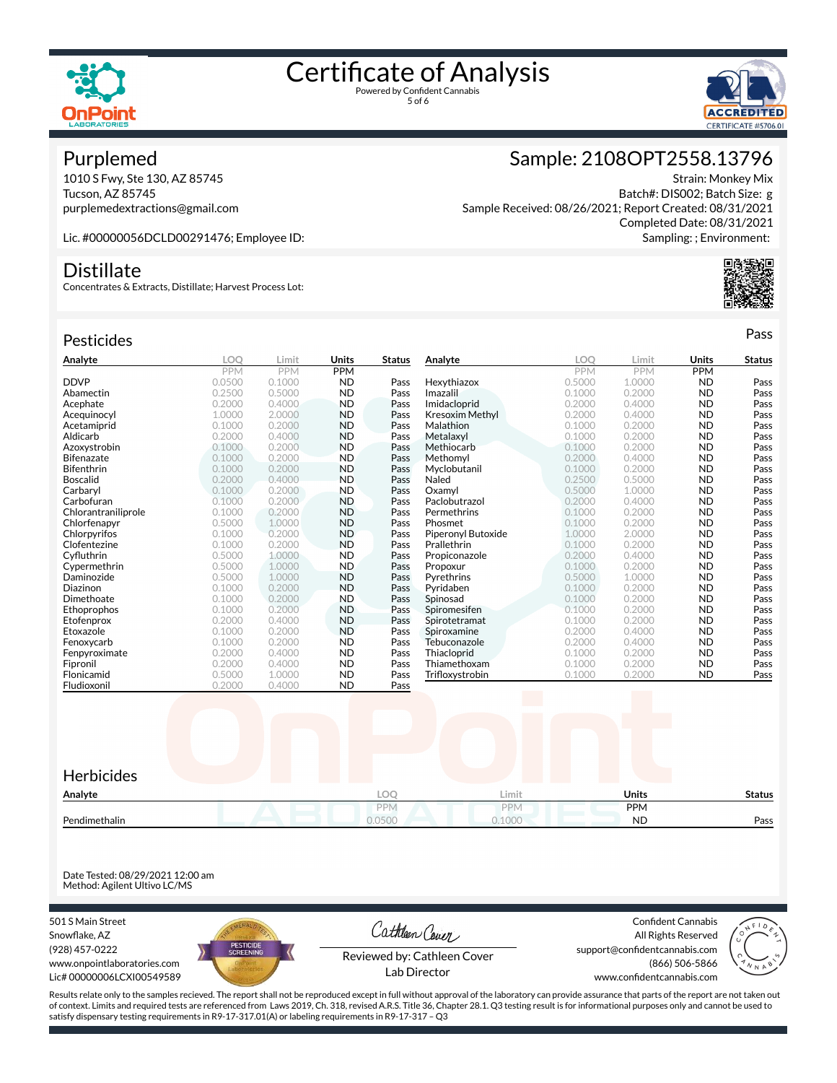



### Purplemed

1010 S Fwy, Ste 130, AZ 85745 Tucson, AZ 85745 purplemedextractions@gmail.com

### Sample: 2108OPT2558.13796

Strain: Monkey Mix Batch#: DIS002; Batch Size: g Sample Received: 08/26/2021; Report Created: 08/31/2021 Completed Date: 08/31/2021 Sampling: ; Environment:

Lic. #00000056DCLD00291476; Employee ID:

### **Distillate**

Concentrates & Extracts, Distillate; Harvest Process Lot:

### Pesticides **Passage Contract Contract Contract Contract Contract Contract Contract Contract Contract Contract Contract Contract Contract Contract Contract Contract Contract Contract Contract Contract Contract Contract Cont**

| Analyte             | LOO        | Limit      | Units      | Status | Analyte            | <b>LOO</b> | Limit      | <b>Units</b> | <b>Status</b> |
|---------------------|------------|------------|------------|--------|--------------------|------------|------------|--------------|---------------|
|                     | <b>PPM</b> | <b>PPM</b> | <b>PPM</b> |        |                    | <b>PPM</b> | <b>PPM</b> | <b>PPM</b>   |               |
| <b>DDVP</b>         | 0.0500     | 0.1000     | <b>ND</b>  | Pass   | Hexythiazox        | 0.5000     | 1.0000     | <b>ND</b>    | Pass          |
| Abamectin           | 0.2500     | 0.5000     | <b>ND</b>  | Pass   | Imazalil           | 0.1000     | 0.2000     | <b>ND</b>    | Pass          |
| Acephate            | 0.2000     | 0.4000     | <b>ND</b>  | Pass   | Imidacloprid       | 0.2000     | 0.4000     | <b>ND</b>    | Pass          |
| Acequinocyl         | 1.0000     | 2.0000     | <b>ND</b>  | Pass   | Kresoxim Methyl    | 0.2000     | 0.4000     | <b>ND</b>    | Pass          |
| Acetamiprid         | 0.1000     | 0.2000     | <b>ND</b>  | Pass   | Malathion          | 0.1000     | 0.2000     | <b>ND</b>    | Pass          |
| Aldicarb            | 0.2000     | 0.4000     | <b>ND</b>  | Pass   | Metalaxyl          | 0.1000     | 0.2000     | <b>ND</b>    | Pass          |
| Azoxystrobin        | 0.1000     | 0.2000     | <b>ND</b>  | Pass   | Methiocarb         | 0.1000     | 0.2000     | <b>ND</b>    | Pass          |
| <b>Bifenazate</b>   | 0.1000     | 0.2000     | <b>ND</b>  | Pass   | Methomyl           | 0.2000     | 0.4000     | <b>ND</b>    | Pass          |
| Bifenthrin          | 0.1000     | 0.2000     | <b>ND</b>  | Pass   | Myclobutanil       | 0.1000     | 0.2000     | <b>ND</b>    | Pass          |
| <b>Boscalid</b>     | 0.2000     | 0.4000     | <b>ND</b>  | Pass   | Naled              | 0.2500     | 0.5000     | <b>ND</b>    | Pass          |
| Carbaryl            | 0.1000     | 0.2000     | <b>ND</b>  | Pass   | Oxamvl             | 0.5000     | 1.0000     | <b>ND</b>    | Pass          |
| Carbofuran          | 0.1000     | 0.2000     | <b>ND</b>  | Pass   | Paclobutrazol      | 0.2000     | 0.4000     | <b>ND</b>    | Pass          |
| Chlorantraniliprole | 0.1000     | 0.2000     | <b>ND</b>  | Pass   | Permethrins        | 0.1000     | 0.2000     | <b>ND</b>    | Pass          |
| Chlorfenapyr        | 0.5000     | 1.0000     | <b>ND</b>  | Pass   | Phosmet            | 0.1000     | 0.2000     | <b>ND</b>    | Pass          |
| Chlorpyrifos        | 0.1000     | 0.2000     | <b>ND</b>  | Pass   | Piperonyl Butoxide | 1.0000     | 2.0000     | <b>ND</b>    | Pass          |
| Clofentezine        | 0.1000     | 0.2000     | <b>ND</b>  | Pass   | Prallethrin        | 0.1000     | 0.2000     | <b>ND</b>    | Pass          |
| Cyfluthrin          | 0.5000     | 1.0000     | <b>ND</b>  | Pass   | Propiconazole      | 0.2000     | 0.4000     | <b>ND</b>    | Pass          |
| Cypermethrin        | 0.5000     | 1.0000     | <b>ND</b>  | Pass   | Propoxur           | 0.1000     | 0.2000     | <b>ND</b>    | Pass          |
| Daminozide          | 0.5000     | 1.0000     | <b>ND</b>  | Pass   | Pyrethrins         | 0.5000     | 1.0000     | <b>ND</b>    | Pass          |
| Diazinon            | 0.1000     | 0.2000     | <b>ND</b>  | Pass   | Pyridaben          | 0.1000     | 0.2000     | <b>ND</b>    | Pass          |
| Dimethoate          | 0.1000     | 0.2000     | <b>ND</b>  | Pass   | Spinosad           | 0.1000     | 0.2000     | <b>ND</b>    | Pass          |
| Ethoprophos         | 0.1000     | 0.2000     | <b>ND</b>  | Pass   | Spiromesifen       | 0.1000     | 0.2000     | <b>ND</b>    | Pass          |
| Etofenprox          | 0.2000     | 0.4000     | <b>ND</b>  | Pass   | Spirotetramat      | 0.1000     | 0.2000     | <b>ND</b>    | Pass          |
| Etoxazole           | 0.1000     | 0.2000     | <b>ND</b>  | Pass   | Spiroxamine        | 0.2000     | 0.4000     | <b>ND</b>    | Pass          |
| Fenoxycarb          | 0.1000     | 0.2000     | <b>ND</b>  | Pass   | Tebuconazole       | 0.2000     | 0.4000     | <b>ND</b>    | Pass          |
| Fenpyroximate       | 0.2000     | 0.4000     | <b>ND</b>  | Pass   | Thiacloprid        | 0.1000     | 0.2000     | <b>ND</b>    | Pass          |
| Fipronil            | 0.2000     | 0.4000     | <b>ND</b>  | Pass   | Thiamethoxam       | 0.1000     | 0.2000     | <b>ND</b>    | Pass          |
| Flonicamid          | 0.5000     | 1.0000     | <b>ND</b>  | Pass   | Trifloxystrobin    | 0.1000     | 0.2000     | <b>ND</b>    | Pass          |
| Fludioxonil         | 0.2000     | 0.4000     | <b>ND</b>  | Pass   |                    |            |            |              |               |



Date Tested: 08/29/2021 12:00 am Method: Agilent Ultivo LC/MS

501 S Main Street Snowflake, AZ (928) 457-0222 www.onpointlaboratories.com Lic# 00000006LCXI00549589



Cathleen Cover

Confident Cannabis All Rights Reserved support@confidentcannabis.com (866) 506-5866



Reviewed by: Cathleen Cover Lab Director

www.confidentcannabis.com